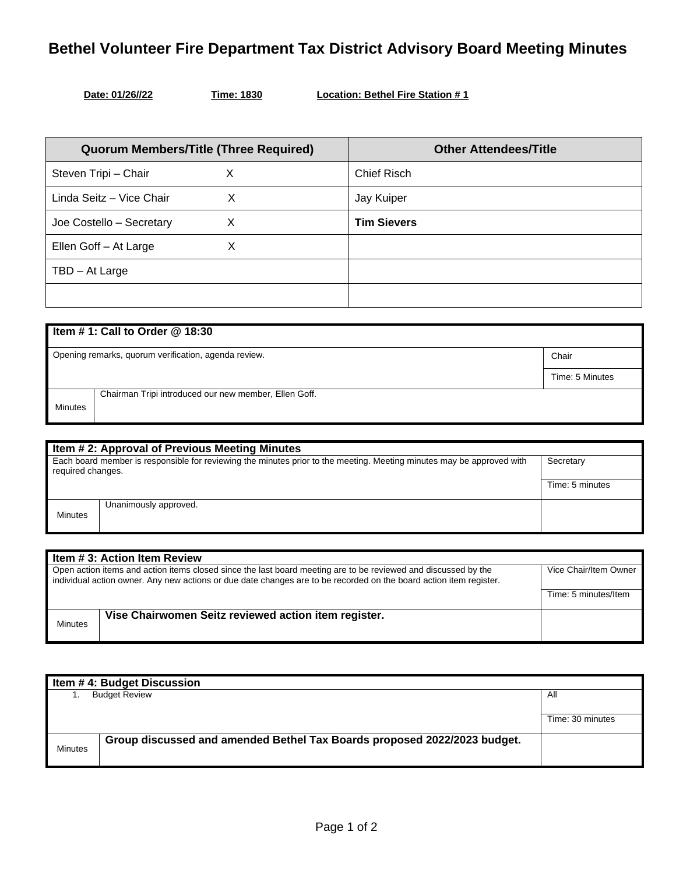## **Bethel Volunteer Fire Department Tax District Advisory Board Meeting Minutes**

**Time: 1830 Location: Bethel Fire Station # 1** 

| <b>Quorum Members/Title (Three Required)</b> |   | <b>Other Attendees/Title</b> |
|----------------------------------------------|---|------------------------------|
| Steven Tripi - Chair                         | Х | <b>Chief Risch</b>           |
| Linda Seitz - Vice Chair                     | х | Jay Kuiper                   |
| Joe Costello - Secretary                     | X | <b>Tim Sievers</b>           |
| Ellen Goff - At Large                        | X |                              |
| TBD - At Large                               |   |                              |
|                                              |   |                              |

| Item #1: Call to Order $@$ 18:30                                        |                                                               |                 |  |
|-------------------------------------------------------------------------|---------------------------------------------------------------|-----------------|--|
|                                                                         | Opening remarks, quorum verification, agenda review.<br>Chair |                 |  |
|                                                                         |                                                               | Time: 5 Minutes |  |
| Chairman Tripi introduced our new member, Ellen Goff.<br><b>Minutes</b> |                                                               |                 |  |

| Item # 2: Approval of Previous Meeting Minutes                                                                                             |                       |                 |
|--------------------------------------------------------------------------------------------------------------------------------------------|-----------------------|-----------------|
| Each board member is responsible for reviewing the minutes prior to the meeting. Meeting minutes may be approved with<br>required changes. |                       | Secretary       |
|                                                                                                                                            |                       | Time: 5 minutes |
| <b>Minutes</b>                                                                                                                             | Unanimously approved. |                 |

| Item # 3: Action Item Review                                                                                                                                                                                                         |                                                      |                       |
|--------------------------------------------------------------------------------------------------------------------------------------------------------------------------------------------------------------------------------------|------------------------------------------------------|-----------------------|
| Open action items and action items closed since the last board meeting are to be reviewed and discussed by the<br>individual action owner. Any new actions or due date changes are to be recorded on the board action item register. |                                                      | Vice Chair/Item Owner |
|                                                                                                                                                                                                                                      |                                                      | Time: 5 minutes/Item  |
| <b>Minutes</b>                                                                                                                                                                                                                       | Vise Chairwomen Seitz reviewed action item register. |                       |

| Item #4: Budget Discussion |                                                                          |                  |
|----------------------------|--------------------------------------------------------------------------|------------------|
|                            | <b>Budget Review</b>                                                     | All              |
|                            |                                                                          |                  |
|                            |                                                                          | Time: 30 minutes |
|                            | Group discussed and amended Bethel Tax Boards proposed 2022/2023 budget. |                  |
| <b>Minutes</b>             |                                                                          |                  |
|                            |                                                                          |                  |